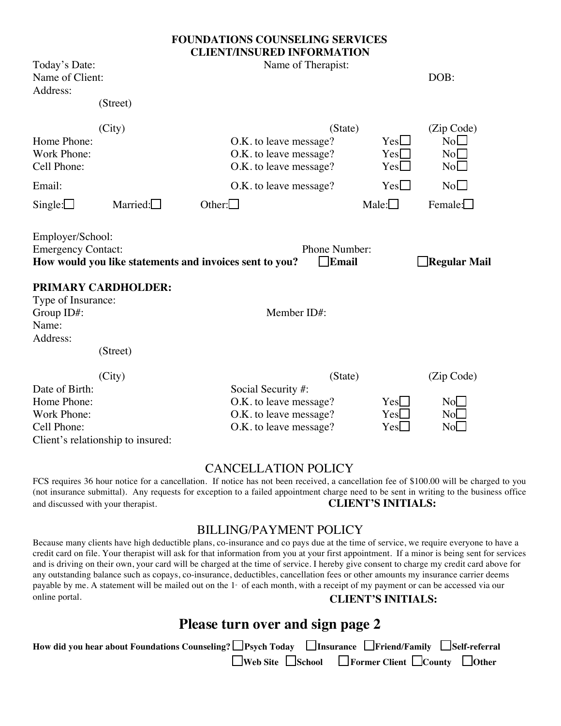# **FOUNDATIONS COUNSELING SERVICES CLIENT/INSURED INFORMATION**

| Today's Date:<br>Name of Client:<br>Address:                                                           | (Street)            | CLIEN LINSUNED INFONMATION<br>Name of Therapist:                                                     |                                            | DOB:                                |
|--------------------------------------------------------------------------------------------------------|---------------------|------------------------------------------------------------------------------------------------------|--------------------------------------------|-------------------------------------|
| Home Phone:<br>Work Phone:<br>Cell Phone:<br>Email:                                                    | (City)              | O.K. to leave message?<br>O.K. to leave message?<br>O.K. to leave message?<br>O.K. to leave message? | (State)<br>$Yes \Box$<br>Yes<br>Yes<br>Yes | (Zip Code)<br>No<br>No<br>No<br>No  |
| Single:                                                                                                | Married: $\Box$     | Other: $\Box$                                                                                        | Male: $\Box$                               | Female:                             |
| Employer/School:<br><b>Emergency Contact:</b><br>Type of Insurance:<br>Group ID#:<br>Name:<br>Address: | PRIMARY CARDHOLDER: | How would you like statements and invoices sent to you?<br>Member ID#:                               | Phone Number:<br>$\Box$ Email              | $\Box$ Regular Mail                 |
|                                                                                                        | (Street)            |                                                                                                      |                                            |                                     |
| Date of Birth:<br>Home Phone:<br>Work Phone:<br>Cell Phone:<br>Client's relationship to insured:       | (City)              | Social Security #:<br>O.K. to leave message?<br>O.K. to leave message?<br>O.K. to leave message?     | (State)<br>Yes<br>$Yes \Box$<br>$Yes \Box$ | (Zip Code)<br>No<br>No<br>$No \Box$ |

# CANCELLATION POLICY

FCS requires 36 hour notice for a cancellation. If notice has not been received, a cancellation fee of \$100.00 will be charged to you (not insurance submittal). Any requests for exception to a failed appointment charge need to be sent in writing to the business office and discussed with your therapist. **CLIENT'S INITIALS:** 

# BILLING/PAYMENT POLICY

Because many clients have high deductible plans, co-insurance and co pays due at the time of service, we require everyone to have a credit card on file. Your therapist will ask for that information from you at your first appointment. If a minor is being sent for services and is driving on their own, your card will be charged at the time of service. I hereby give consent to charge my credit card above for any outstanding balance such as copays, co-insurance, deductibles, cancellation fees or other amounts my insurance carrier deems payable by me. A statement will be mailed out on the 1<sup>st</sup> of each month, with a receipt of my payment or can be accessed via our online portal. **CLIENT'S INITIALS:** 

# **Please turn over and sign page 2**

| How did you hear about Foundations Counseling? Psych Today Insurance Priend/Family Self-referral |                                                                               |  |
|--------------------------------------------------------------------------------------------------|-------------------------------------------------------------------------------|--|
|                                                                                                  | $\Box$ Web Site $\Box$ School $\Box$ Former Client $\Box$ County $\Box$ Other |  |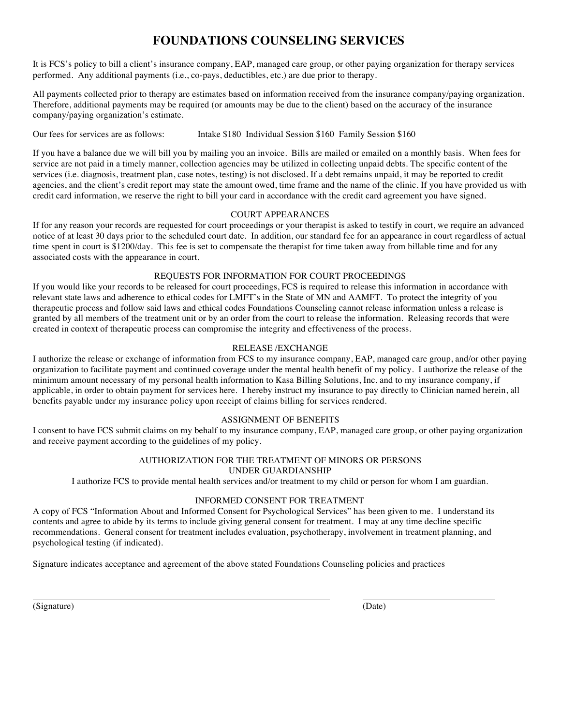# **FOUNDATIONS COUNSELING SERVICES**

It is FCS's policy to bill a client's insurance company, EAP, managed care group, or other paying organization for therapy services performed. Any additional payments (i.e., co-pays, deductibles, etc.) are due prior to therapy.

All payments collected prior to therapy are estimates based on information received from the insurance company/paying organization. Therefore, additional payments may be required (or amounts may be due to the client) based on the accuracy of the insurance company/paying organization's estimate.

Our fees for services are as follows: Intake \$180 Individual Session \$160 Family Session \$160

If you have a balance due we will bill you by mailing you an invoice. Bills are mailed or emailed on a monthly basis. When fees for service are not paid in a timely manner, collection agencies may be utilized in collecting unpaid debts. The specific content of the services (i.e. diagnosis, treatment plan, case notes, testing) is not disclosed. If a debt remains unpaid, it may be reported to credit agencies, and the client's credit report may state the amount owed, time frame and the name of the clinic. If you have provided us with credit card information, we reserve the right to bill your card in accordance with the credit card agreement you have signed.

# COURT APPEARANCES

If for any reason your records are requested for court proceedings or your therapist is asked to testify in court, we require an advanced notice of at least 30 days prior to the scheduled court date. In addition, our standard fee for an appearance in court regardless of actual time spent in court is \$1200/day. This fee is set to compensate the therapist for time taken away from billable time and for any associated costs with the appearance in court.

# REQUESTS FOR INFORMATION FOR COURT PROCEEDINGS

If you would like your records to be released for court proceedings, FCS is required to release this information in accordance with relevant state laws and adherence to ethical codes for LMFT's in the State of MN and AAMFT. To protect the integrity of you therapeutic process and follow said laws and ethical codes Foundations Counseling cannot release information unless a release is granted by all members of the treatment unit or by an order from the court to release the information. Releasing records that were created in context of therapeutic process can compromise the integrity and effectiveness of the process.

# RELEASE /EXCHANGE

I authorize the release or exchange of information from FCS to my insurance company, EAP, managed care group, and/or other paying organization to facilitate payment and continued coverage under the mental health benefit of my policy. I authorize the release of the minimum amount necessary of my personal health information to Kasa Billing Solutions, Inc. and to my insurance company, if applicable, in order to obtain payment for services here. I hereby instruct my insurance to pay directly to Clinician named herein, all benefits payable under my insurance policy upon receipt of claims billing for services rendered.

# ASSIGNMENT OF BENEFITS

I consent to have FCS submit claims on my behalf to my insurance company, EAP, managed care group, or other paying organization and receive payment according to the guidelines of my policy.

# AUTHORIZATION FOR THE TREATMENT OF MINORS OR PERSONS UNDER GUARDIANSHIP

I authorize FCS to provide mental health services and/or treatment to my child or person for whom I am guardian.

# INFORMED CONSENT FOR TREATMENT

A copy of FCS "Information About and Informed Consent for Psychological Services" has been given to me. I understand its contents and agree to abide by its terms to include giving general consent for treatment. I may at any time decline specific recommendations. General consent for treatment includes evaluation, psychotherapy, involvement in treatment planning, and psychological testing (if indicated).

Signature indicates acceptance and agreement of the above stated Foundations Counseling policies and practices

(Signature) (Date)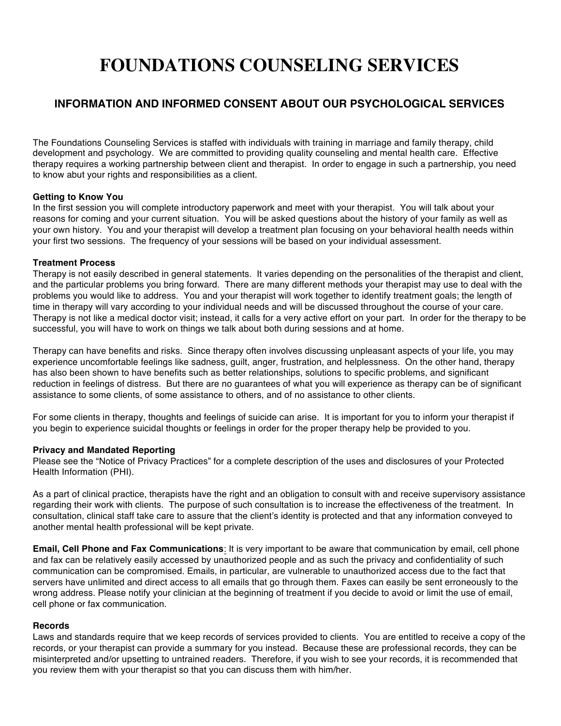# **FOUNDATIONS COUNSELING SERVICES**

# **INFORMATION AND INFORMED CONSENT ABOUT OUR PSYCHOLOGICAL SERVICES**

The Foundations Counseling Services is staffed with individuals with training in marriage and family therapy, child development and psychology. We are committed to providing quality counseling and mental health care. Effective therapy requires a working partnership between client and therapist. In order to engage in such a partnership, you need to know abut your rights and responsibilities as a client.

# **Getting to Know You**

In the first session you will complete introductory paperwork and meet with your therapist. You will talk about your reasons for coming and your current situation. You will be asked questions about the history of your family as well as your own history. You and your therapist will develop a treatment plan focusing on your behavioral health needs within your first two sessions. The frequency of your sessions will be based on your individual assessment.

# **Treatment Process**

Therapy is not easily described in general statements. It varies depending on the personalities of the therapist and client, and the particular problems you bring forward. There are many different methods your therapist may use to deal with the problems you would like to address. You and your therapist will work together to identify treatment goals; the length of time in therapy will vary according to your individual needs and will be discussed throughout the course of your care. Therapy is not like a medical doctor visit; instead, it calls for a very active effort on your part. In order for the therapy to be successful, you will have to work on things we talk about both during sessions and at home.

Therapy can have benefits and risks. Since therapy often involves discussing unpleasant aspects of your life, you may experience uncomfortable feelings like sadness, guilt, anger, frustration, and helplessness. On the other hand, therapy has also been shown to have benefits such as better relationships, solutions to specific problems, and significant reduction in feelings of distress. But there are no guarantees of what you will experience as therapy can be of significant assistance to some clients, of some assistance to others, and of no assistance to other clients.

For some clients in therapy, thoughts and feelings of suicide can arise. It is important for you to inform your therapist if you begin to experience suicidal thoughts or feelings in order for the proper therapy help be provided to you.

# **Privacy and Mandated Reporting**

Please see the "Notice of Privacy Practices" for a complete description of the uses and disclosures of your Protected Health Information (PHI).

As a part of clinical practice, therapists have the right and an obligation to consult with and receive supervisory assistance regarding their work with clients. The purpose of such consultation is to increase the effectiveness of the treatment. In consultation, clinical staff take care to assure that the client's identity is protected and that any information conveyed to another mental health professional will be kept private.

**Email, Cell Phone and Fax Communications**: It is very important to be aware that communication by email, cell phone and fax can be relatively easily accessed by unauthorized people and as such the privacy and confidentiality of such communication can be compromised. Emails, in particular, are vulnerable to unauthorized access due to the fact that servers have unlimited and direct access to all emails that go through them. Faxes can easily be sent erroneously to the wrong address. Please notify your clinician at the beginning of treatment if you decide to avoid or limit the use of email, cell phone or fax communication.

# **Records**

Laws and standards require that we keep records of services provided to clients. You are entitled to receive a copy of the records, or your therapist can provide a summary for you instead. Because these are professional records, they can be misinterpreted and/or upsetting to untrained readers. Therefore, if you wish to see your records, it is recommended that you review them with your therapist so that you can discuss them with him/her.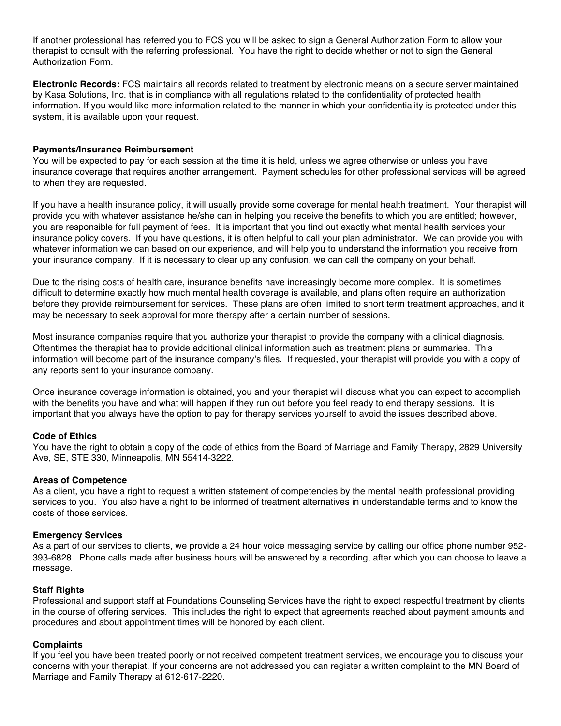If another professional has referred you to FCS you will be asked to sign a General Authorization Form to allow your therapist to consult with the referring professional. You have the right to decide whether or not to sign the General Authorization Form.

**Electronic Records:** FCS maintains all records related to treatment by electronic means on a secure server maintained by Kasa Solutions, Inc. that is in compliance with all regulations related to the confidentiality of protected health information. If you would like more information related to the manner in which your confidentiality is protected under this system, it is available upon your request.

#### **Payments/Insurance Reimbursement**

You will be expected to pay for each session at the time it is held, unless we agree otherwise or unless you have insurance coverage that requires another arrangement. Payment schedules for other professional services will be agreed to when they are requested.

If you have a health insurance policy, it will usually provide some coverage for mental health treatment. Your therapist will provide you with whatever assistance he/she can in helping you receive the benefits to which you are entitled; however, you are responsible for full payment of fees. It is important that you find out exactly what mental health services your insurance policy covers. If you have questions, it is often helpful to call your plan administrator. We can provide you with whatever information we can based on our experience, and will help you to understand the information you receive from your insurance company. If it is necessary to clear up any confusion, we can call the company on your behalf.

Due to the rising costs of health care, insurance benefits have increasingly become more complex. It is sometimes difficult to determine exactly how much mental health coverage is available, and plans often require an authorization before they provide reimbursement for services. These plans are often limited to short term treatment approaches, and it may be necessary to seek approval for more therapy after a certain number of sessions.

Most insurance companies require that you authorize your therapist to provide the company with a clinical diagnosis. Oftentimes the therapist has to provide additional clinical information such as treatment plans or summaries. This information will become part of the insurance company's files. If requested, your therapist will provide you with a copy of any reports sent to your insurance company.

Once insurance coverage information is obtained, you and your therapist will discuss what you can expect to accomplish with the benefits you have and what will happen if they run out before you feel ready to end therapy sessions. It is important that you always have the option to pay for therapy services yourself to avoid the issues described above.

# **Code of Ethics**

You have the right to obtain a copy of the code of ethics from the Board of Marriage and Family Therapy, 2829 University Ave, SE, STE 330, Minneapolis, MN 55414-3222.

#### **Areas of Competence**

As a client, you have a right to request a written statement of competencies by the mental health professional providing services to you. You also have a right to be informed of treatment alternatives in understandable terms and to know the costs of those services.

# **Emergency Services**

As a part of our services to clients, we provide a 24 hour voice messaging service by calling our office phone number 952- 393-6828. Phone calls made after business hours will be answered by a recording, after which you can choose to leave a message.

# **Staff Rights**

Professional and support staff at Foundations Counseling Services have the right to expect respectful treatment by clients in the course of offering services. This includes the right to expect that agreements reached about payment amounts and procedures and about appointment times will be honored by each client.

#### **Complaints**

If you feel you have been treated poorly or not received competent treatment services, we encourage you to discuss your concerns with your therapist. If your concerns are not addressed you can register a written complaint to the MN Board of Marriage and Family Therapy at 612-617-2220.